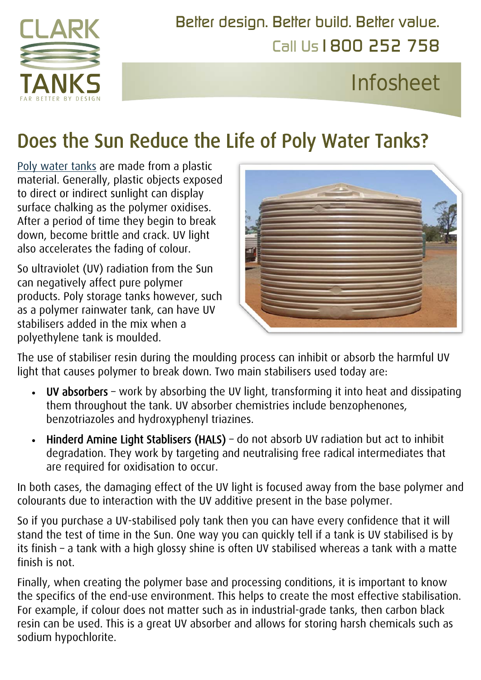

Call Us1800 252 758 [Better design. Better build. Better](http://www.clarktanks.com.au/) value.

# Infosheet

## Does the Sun Reduce the Life of Poly Water Tanks?

[Poly water tanks](https://www.clarktanks.com.au/rain-water-tanks/) are made from a plastic material. Generally, plastic objects exposed to direct or indirect sunlight can display surface chalking as the polymer oxidises. After a period of time they begin to break down, become brittle and crack. UV light also accelerates the fading of colour.

So ultraviolet (UV) radiation from the Sun can negatively affect pure polymer products. Poly storage tanks however, such as a polymer rainwater tank, can have UV stabilisers added in the mix when a polyethylene tank is moulded.



The use of stabiliser resin during the moulding process can inhibit or absorb the harmful UV light that causes polymer to break down. Two main stabilisers used today are:

- UV absorbers work by absorbing the UV light, transforming it into heat and dissipating them throughout the tank. UV absorber chemistries include benzophenones, benzotriazoles and hydroxyphenyl triazines.
- Hinderd Amine Light Stablisers (HALS) do not absorb UV radiation but act to inhibit degradation. They work by targeting and neutralising free radical intermediates that are required for oxidisation to occur.

In both cases, the damaging effect of the UV light is focused away from the base polymer and colourants due to interaction with the UV additive present in the base polymer.

So if you purchase a UV-stabilised poly tank then you can have every confidence that it will stand the test of time in the Sun. One way you can quickly tell if a tank is UV stabilised is by its finish – a tank with a high glossy shine is often UV stabilised whereas a tank with a matte finish is not.

Finally, when creating the polymer base and processing conditions, it is important to know the specifics of the end-use environment. This helps to create the most effective stabilisation. For example, if colour does not matter such as in industrial-grade tanks, then carbon black resin can be used. This is a great UV absorber and allows for storing harsh chemicals such as sodium hypochlorite.